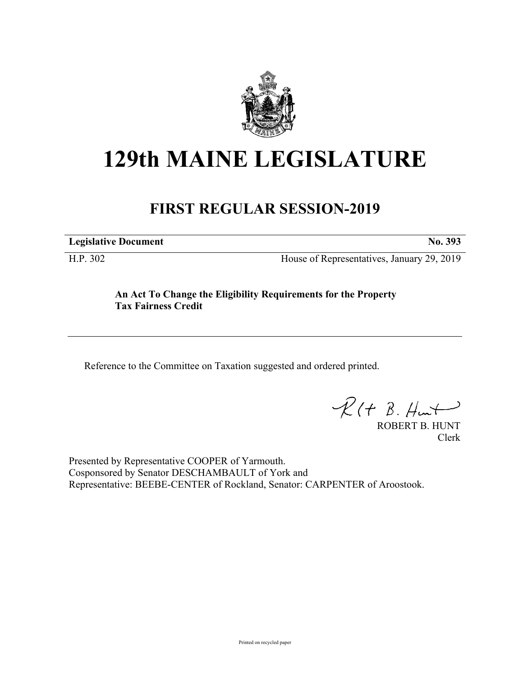

# **129th MAINE LEGISLATURE**

## **FIRST REGULAR SESSION-2019**

**Legislative Document No. 393**

H.P. 302 House of Representatives, January 29, 2019

**An Act To Change the Eligibility Requirements for the Property Tax Fairness Credit**

Reference to the Committee on Taxation suggested and ordered printed.

 $R(t B. Hmt)$ 

ROBERT B. HUNT Clerk

Presented by Representative COOPER of Yarmouth. Cosponsored by Senator DESCHAMBAULT of York and Representative: BEEBE-CENTER of Rockland, Senator: CARPENTER of Aroostook.